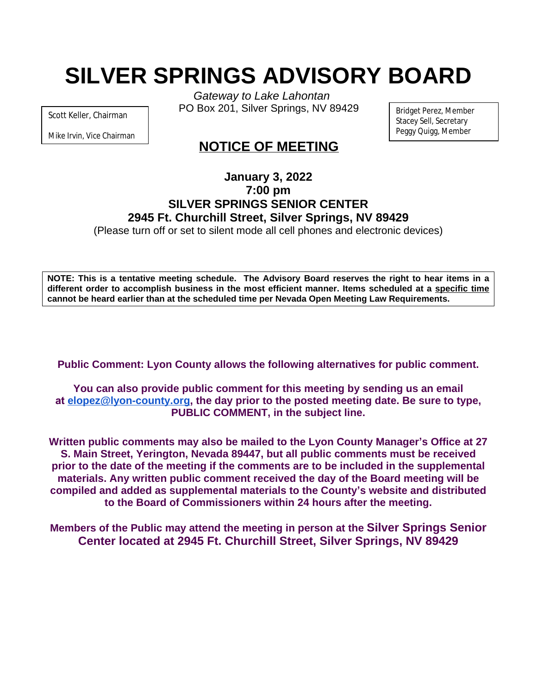# **SILVER SPRINGS ADVISORY BOARD**

Scott Keller, Chairman

Mike Irvin, Vice Chairman

*Gateway to Lake Lahontan* PO Box 201, Silver Springs, NV 89429

Bridget Perez, Member Stacey Sell, Secretary Peggy Quigg, Member

# **NOTICE OF MEETING**

# **January 3, 2022 7:00 pm SILVER SPRINGS SENIOR CENTER 2945 Ft. Churchill Street, Silver Springs, NV 89429**

(Please turn off or set to silent mode all cell phones and electronic devices)

NOTE: This is a tentative meeting schedule. The Advisory Board reserves the right to hear items in a **different order to accomplish business in the most efficient manner. Items scheduled at a specific time cannot be heard earlier than at the scheduled time per Nevada Open Meeting Law Requirements.**

**Public Comment: Lyon County allows the following alternatives for public comment.**

**You can also provide public comment for this meeting by sending us an email at [elopez@lyon-county.org,](about:blank) the day prior to the posted meeting date. Be sure to type, PUBLIC COMMENT, in the subject line.**

**Written public comments may also be mailed to the Lyon County Manager's Office at 27 S. Main Street, Yerington, Nevada 89447, but all public comments must be received prior to the date of the meeting if the comments are to be included in the supplemental materials. Any written public comment received the day of the Board meeting will be compiled and added as supplemental materials to the County's website and distributed to the Board of Commissioners within 24 hours after the meeting.**

**Members of the Public may attend the meeting in person at the Silver Springs Senior Center located at 2945 Ft. Churchill Street, Silver Springs, NV 89429**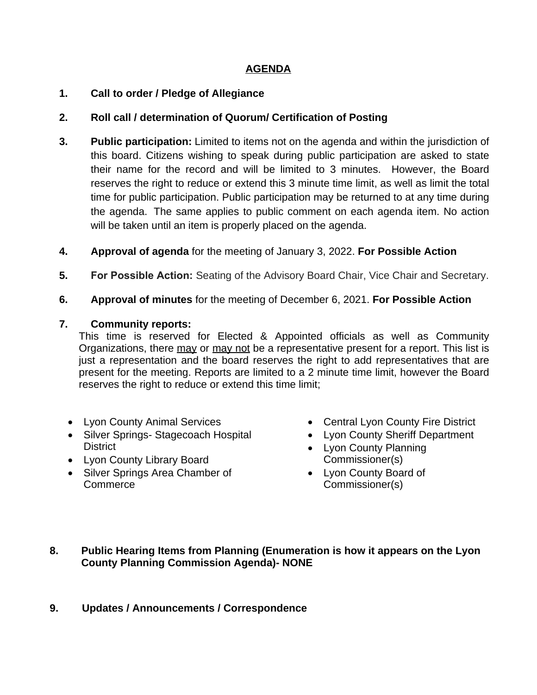## **AGENDA**

#### **1. Call to order / Pledge of Allegiance**

#### **2. Roll call / determination of Quorum/ Certification of Posting**

- **3. Public participation:** Limited to items not on the agenda and within the jurisdiction of this board. Citizens wishing to speak during public participation are asked to state their name for the record and will be limited to 3 minutes. However, the Board reserves the right to reduce or extend this 3 minute time limit, as well as limit the total time for public participation. Public participation may be returned to at any time during the agenda. The same applies to public comment on each agenda item. No action will be taken until an item is properly placed on the agenda.
- **4. Approval of agenda** for the meeting of January 3, 2022. **For Possible Action**
- **5. For Possible Action:** Seating of the Advisory Board Chair, Vice Chair and Secretary.
- **6. Approval of minutes** for the meeting of December 6, 2021. **For Possible Action**

#### **7. Community reports:**

This time is reserved for Elected & Appointed officials as well as Community Organizations, there may or may not be a representative present for a report. This list is just a representation and the board reserves the right to add representatives that are present for the meeting. Reports are limited to a 2 minute time limit, however the Board reserves the right to reduce or extend this time limit;

- Lyon County Animal Services
- Silver Springs- Stagecoach Hospital **District**
- Lyon County Library Board
- Silver Springs Area Chamber of Commerce
- Central Lyon County Fire District
- Lyon County Sheriff Department
- Lyon County Planning Commissioner(s)
- Lyon County Board of Commissioner(s)

#### **8. Public Hearing Items from Planning (Enumeration is how it appears on the Lyon County Planning Commission Agenda)- NONE**

## **9. Updates / Announcements / Correspondence**